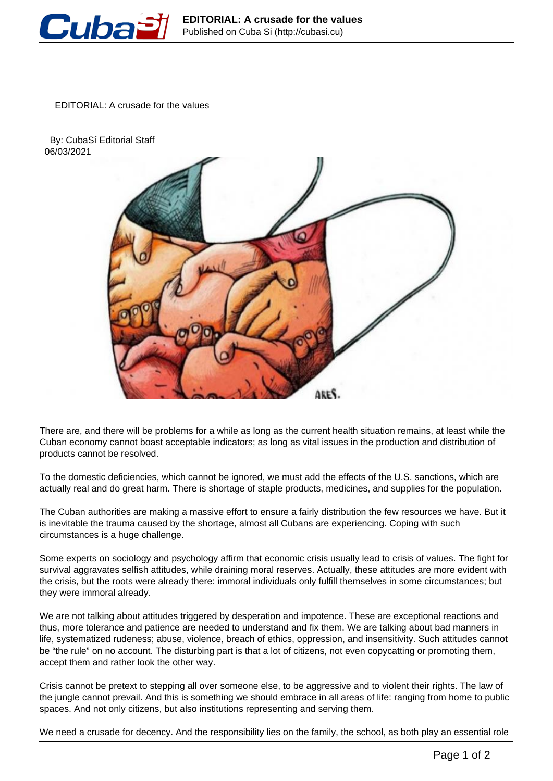

EDITORIAL: A crusade for the values

 By: CubaSí Editorial Staff 06/03/2021



There are, and there will be problems for a while as long as the current health situation remains, at least while the Cuban economy cannot boast acceptable indicators; as long as vital issues in the production and distribution of products cannot be resolved.

To the domestic deficiencies, which cannot be ignored, we must add the effects of the U.S. sanctions, which are actually real and do great harm. There is shortage of staple products, medicines, and supplies for the population.

The Cuban authorities are making a massive effort to ensure a fairly distribution the few resources we have. But it is inevitable the trauma caused by the shortage, almost all Cubans are experiencing. Coping with such circumstances is a huge challenge.

Some experts on sociology and psychology affirm that economic crisis usually lead to crisis of values. The fight for survival aggravates selfish attitudes, while draining moral reserves. Actually, these attitudes are more evident with the crisis, but the roots were already there: immoral individuals only fulfill themselves in some circumstances; but they were immoral already.

We are not talking about attitudes triggered by desperation and impotence. These are exceptional reactions and thus, more tolerance and patience are needed to understand and fix them. We are talking about bad manners in life, systematized rudeness; abuse, violence, breach of ethics, oppression, and insensitivity. Such attitudes cannot be "the rule" on no account. The disturbing part is that a lot of citizens, not even copycatting or promoting them, accept them and rather look the other way.

Crisis cannot be pretext to stepping all over someone else, to be aggressive and to violent their rights. The law of the jungle cannot prevail. And this is something we should embrace in all areas of life: ranging from home to public spaces. And not only citizens, but also institutions representing and serving them.

We need a crusade for decency. And the responsibility lies on the family, the school, as both play an essential role